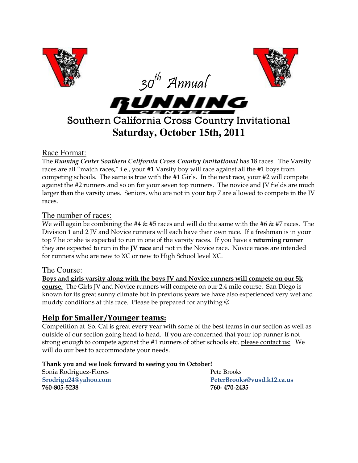

## Race Format:

The Running Center Southern California Cross Country Invitational has 18 races. The Varsity races are all "match races," i.e., your #1 Varsity boy will race against all the #1 boys from competing schools. The same is true with the #1 Girls. In the next race, your #2 will compete against the #2 runners and so on for your seven top runners. The novice and JV fields are much larger than the varsity ones. Seniors, who are not in your top 7 are allowed to compete in the JV races. Ï

#### The number of races:

We will again be combining the #4  $\&$  #5 races and will do the same with the #6  $\&$  #7 races. The Division 1 and 2 JV and Novice runners will each have their own race. If a freshman is in your top 7 he or she is expected to run in one of the varsity races. If you have a returning runner they are expected to run in the JV race and not in the Novice race. Novice races are intended for runners who are new to XC or new to High School level XC.

#### The Course:

Boys and girls varsity along with the boys JV and Novice runners will compete on our 5k course. The Girls JV and Novice runners will compete on our 2.4 mile course. San Diego is known for its great sunny climate but in previous years we have also experienced very wet and muddy conditions at this race. Please be prepared for anything  $\circledcirc$ Ī

# Help for Smaller/Younger teams:

Competition at So. Cal is great every year with some of the best teams in our section as well as outside of our section going head to head. If you are concerned that your top runner is not strong enough to compete against the #1 runners of other schools etc. please contact us: We will do our best to accommodate your needs.

#### Thank you and we look forward to seeing you in October!

Sonia Rodriguez-Flores **Pete Brooks** 760-805-5238 760- 470-2435

Srodrigu24@yahoo.com PeterBrooks@vusd.k12.ca.us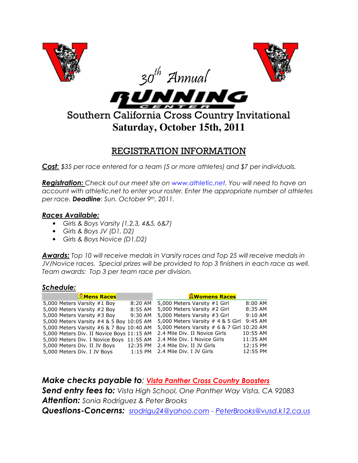

# REGISTRATION INFORMATION

Cost: \$35 per race entered for a team (5 or more athletes) and \$7 per individuals.

**Registration:** Check out our meet site on www.athletic.net. You will need to have an account with athletic.net to enter your roster. Enter the appropriate number of athletes per race. Deadline: Sun. October 9th, 2011.

## Races Available:

- Girls & Boys Varsity (1,2,3, 4&5, 6&7)
- Girls & Boys JV (D1, D2)
- Girls & Boys Novice (D1,D2)

Awards: Top 10 will receive medals in Varsity races and Top 25 will receive medals in JV/Novice races. Special prizes will be provided to top 3 finishers in each race as well. Team awards: Top 3 per team race per division.

## Schedule:

| <b>Mens Races</b>                         |           | <b>aWomens Races</b>                       |           |
|-------------------------------------------|-----------|--------------------------------------------|-----------|
| 5,000 Meters Varsity #1 Boy               | 8:20 AM   | 5,000 Meters Varsity #1 Girl               | 8:00 AM   |
| 5,000 Meters Varsity #2 Boy               | 8:55 AM   | 5,000 Meters Varsity #2 Girl               | 8:35 AM   |
| 5,000 Meters Varsity #3 Boy               | 9:30 AM   | 5,000 Meters Varsity #3 Girl               | $9:10$ AM |
| 5,000 Meters Varsity #4 & 5 Boy 10:05 AM  |           | 5,000 Meters Varsity # 4 & 5 Girl          | $9:45$ AM |
| 5,000 Meters Varsity #6 & 7 Boy 10:40 AM  |           | 5,000 Meters Varsity # 6 & 7 Girl 10:20 AM |           |
| 5,000 Meters Div. II Novice Boys 11:15 AM |           | 2.4 Mile Div. II Novice Girls              | 10:55 AM  |
| 5,000 Meters Div. I Novice Boys 11:55 AM  |           | 2.4 Mile Div. I Novice Girls               | 11:35 AM  |
| 5,000 Meters Div. II JV Boys              | 12:35 PM  | 2.4 Mile Div. II JV Girls                  | 12:15 PM  |
| 5,000 Meters Div. I JV Boys               | $1:15$ PM | 2.4 Mile Div. I JV Girls                   | 12:55 PM  |

Make checks payable to: Vista Panther Cross Country Boosters Send entry fees to: Vista High School, One Panther Way Vista, CA 92083 **Attention:** Sonia Rodriguez & Peter Brooks Questions-Concerns: srodrigu24@yahoo.com - PeterBrooks@vusd.k12.ca.us